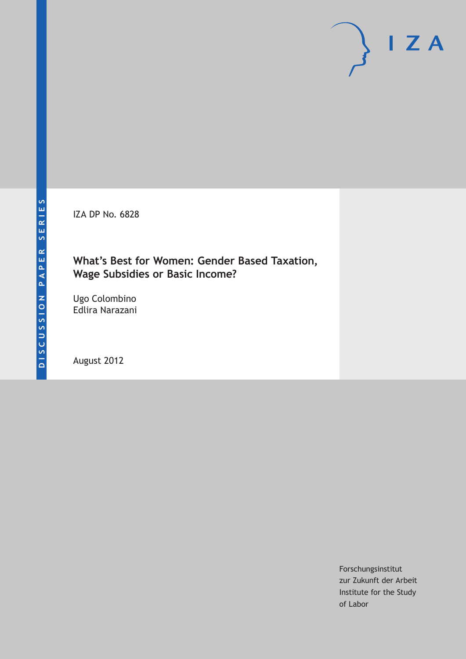IZA DP No. 6828

# **What's Best for Women: Gender Based Taxation, Wage Subsidies or Basic Income?**

Ugo Colombino Edlira Narazani

August 2012

Forschungsinstitut zur Zukunft der Arbeit Institute for the Study of Labor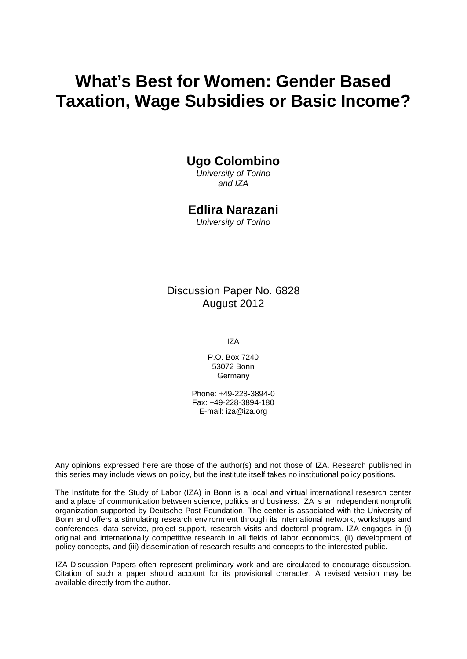# **What's Best for Women: Gender Based Taxation, Wage Subsidies or Basic Income?**

# **Ugo Colombino**

*University of Torino and IZA*

## **Edlira Narazani**

*University of Torino*

Discussion Paper No. 6828 August 2012

IZA

P.O. Box 7240 53072 Bonn Germany

Phone: +49-228-3894-0 Fax: +49-228-3894-180 E-mail: [iza@iza.org](mailto:iza@iza.org)

Any opinions expressed here are those of the author(s) and not those of IZA. Research published in this series may include views on policy, but the institute itself takes no institutional policy positions.

The Institute for the Study of Labor (IZA) in Bonn is a local and virtual international research center and a place of communication between science, politics and business. IZA is an independent nonprofit organization supported by Deutsche Post Foundation. The center is associated with the University of Bonn and offers a stimulating research environment through its international network, workshops and conferences, data service, project support, research visits and doctoral program. IZA engages in (i) original and internationally competitive research in all fields of labor economics, (ii) development of policy concepts, and (iii) dissemination of research results and concepts to the interested public.

<span id="page-1-0"></span>IZA Discussion Papers often represent preliminary work and are circulated to encourage discussion. Citation of such a paper should account for its provisional character. A revised version may be available directly from the author.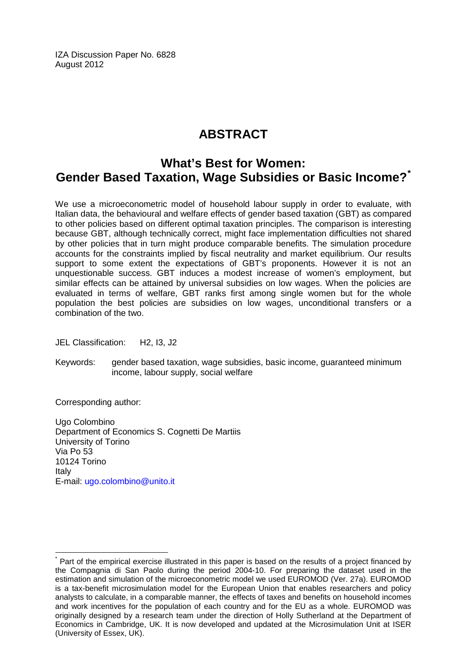IZA Discussion Paper No. 6828 August 2012

# **ABSTRACT**

# **What's Best for Women: Gender Based Taxation, Wage Subsidies or Basic Income?[\\*](#page-1-0)**

We use a microeconometric model of household labour supply in order to evaluate, with Italian data, the behavioural and welfare effects of gender based taxation (GBT) as compared to other policies based on different optimal taxation principles. The comparison is interesting because GBT, although technically correct, might face implementation difficulties not shared by other policies that in turn might produce comparable benefits. The simulation procedure accounts for the constraints implied by fiscal neutrality and market equilibrium. Our results support to some extent the expectations of GBT's proponents. However it is not an unquestionable success. GBT induces a modest increase of women's employment, but similar effects can be attained by universal subsidies on low wages. When the policies are evaluated in terms of welfare, GBT ranks first among single women but for the whole population the best policies are subsidies on low wages, unconditional transfers or a combination of the two.

JEL Classification: H2, I3, J2

Keywords: gender based taxation, wage subsidies, basic income, guaranteed minimum income, labour supply, social welfare

Corresponding author:

Ugo Colombino Department of Economics S. Cognetti De Martiis University of Torino Via Po 53 10124 Torino Italy E-mail: [ugo.colombino@unito.it](mailto:ugo.colombino@unito.it)

Part of the empirical exercise illustrated in this paper is based on the results of a project financed by the Compagnia di San Paolo during the period 2004-10. For preparing the dataset used in the estimation and simulation of the microeconometric model we used EUROMOD (Ver. 27a). EUROMOD is a tax-benefit microsimulation model for the European Union that enables researchers and policy analysts to calculate, in a comparable manner, the effects of taxes and benefits on household incomes and work incentives for the population of each country and for the EU as a whole. EUROMOD was originally designed by a research team under the direction of Holly Sutherland at the Department of Economics in Cambridge, UK. It is now developed and updated at the Microsimulation Unit at ISER (University of Essex, UK).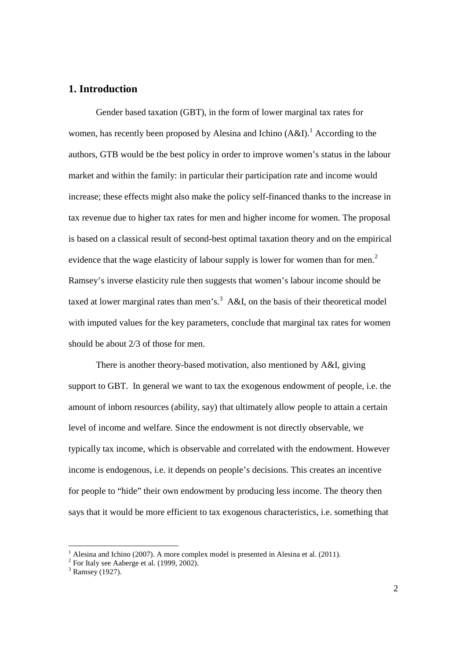### **1. Introduction**

Gender based taxation (GBT), in the form of lower marginal tax rates for women, has recently been proposed by Alesina and Ichino  $(A&I)$ .<sup>1</sup> According to the authors, GTB would be the best policy in order to improve women's status in the labour market and within the family: in particular their participation rate and income would increase; these effects might also make the policy self-financed thanks to the increase in tax revenue due to higher tax rates for men and higher income for women. The proposal is based on a classical result of second-best optimal taxation theory and on the empirical evidence that the wage elasticity of labour supply is lower for women than for men.<sup>2</sup> Ramsey's inverse elasticity rule then suggests that women's labour income should be taxed at lower marginal rates than men's.<sup>3</sup> A&I, on the basis of their theoretical model with imputed values for the key parameters, conclude that marginal tax rates for women should be about 2/3 of those for men.

There is another theory-based motivation, also mentioned by A&I, giving support to GBT. In general we want to tax the exogenous endowment of people, i.e. the amount of inborn resources (ability, say) that ultimately allow people to attain a certain level of income and welfare. Since the endowment is not directly observable, we typically tax income, which is observable and correlated with the endowment. However income is endogenous, i.e. it depends on people's decisions. This creates an incentive for people to "hide" their own endowment by producing less income. The theory then says that it would be more efficient to tax exogenous characteristics, i.e. something that

l

<sup>1</sup> Alesina and Ichino (2007). A more complex model is presented in Alesina et al. (2011).

 $2^2$  For Italy see Aaberge et al. (1999, 2002).

 $3$  Ramsey (1927).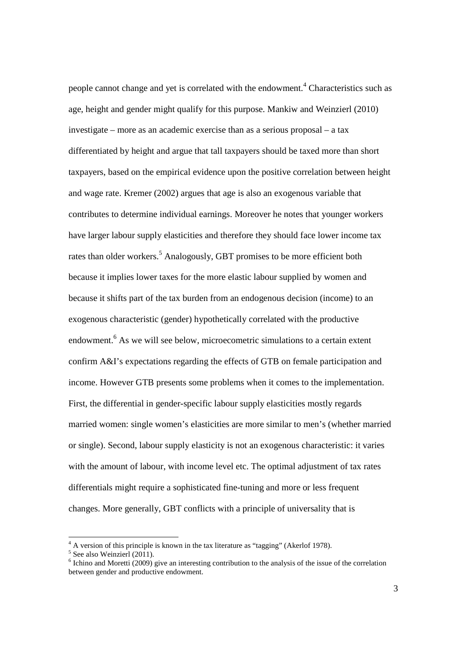people cannot change and yet is correlated with the endowment.<sup>4</sup> Characteristics such as age, height and gender might qualify for this purpose. Mankiw and Weinzierl (2010) investigate – more as an academic exercise than as a serious proposal – a tax differentiated by height and argue that tall taxpayers should be taxed more than short taxpayers, based on the empirical evidence upon the positive correlation between height and wage rate. Kremer (2002) argues that age is also an exogenous variable that contributes to determine individual earnings. Moreover he notes that younger workers have larger labour supply elasticities and therefore they should face lower income tax rates than older workers.<sup>5</sup> Analogously, GBT promises to be more efficient both because it implies lower taxes for the more elastic labour supplied by women and because it shifts part of the tax burden from an endogenous decision (income) to an exogenous characteristic (gender) hypothetically correlated with the productive endowment.<sup>6</sup> As we will see below, microecometric simulations to a certain extent confirm A&I's expectations regarding the effects of GTB on female participation and income. However GTB presents some problems when it comes to the implementation. First, the differential in gender-specific labour supply elasticities mostly regards married women: single women's elasticities are more similar to men's (whether married or single). Second, labour supply elasticity is not an exogenous characteristic: it varies with the amount of labour, with income level etc. The optimal adjustment of tax rates differentials might require a sophisticated fine-tuning and more or less frequent changes. More generally, GBT conflicts with a principle of universality that is

 4 A version of this principle is known in the tax literature as "tagging" (Akerlof 1978).

<sup>5</sup> See also Weinzierl (2011).

<sup>&</sup>lt;sup>6</sup> Ichino and Moretti (2009) give an interesting contribution to the analysis of the issue of the correlation between gender and productive endowment.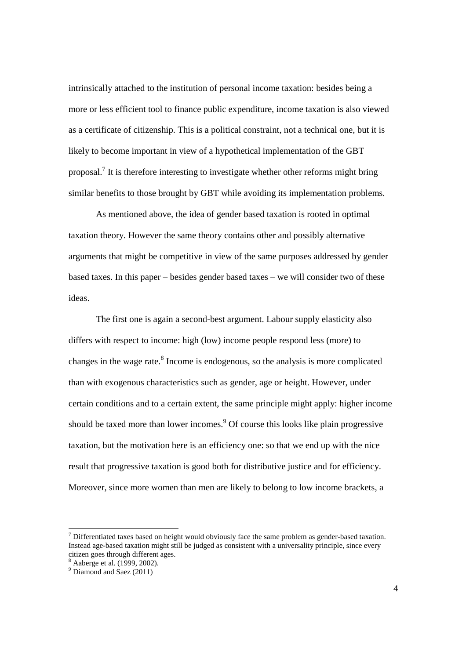intrinsically attached to the institution of personal income taxation: besides being a more or less efficient tool to finance public expenditure, income taxation is also viewed as a certificate of citizenship. This is a political constraint, not a technical one, but it is likely to become important in view of a hypothetical implementation of the GBT proposal.<sup>7</sup> It is therefore interesting to investigate whether other reforms might bring similar benefits to those brought by GBT while avoiding its implementation problems.

As mentioned above, the idea of gender based taxation is rooted in optimal taxation theory. However the same theory contains other and possibly alternative arguments that might be competitive in view of the same purposes addressed by gender based taxes. In this paper – besides gender based taxes – we will consider two of these ideas.

The first one is again a second-best argument. Labour supply elasticity also differs with respect to income: high (low) income people respond less (more) to changes in the wage rate.<sup>8</sup> Income is endogenous, so the analysis is more complicated than with exogenous characteristics such as gender, age or height. However, under certain conditions and to a certain extent, the same principle might apply: higher income should be taxed more than lower incomes.<sup>9</sup> Of course this looks like plain progressive taxation, but the motivation here is an efficiency one: so that we end up with the nice result that progressive taxation is good both for distributive justice and for efficiency. Moreover, since more women than men are likely to belong to low income brackets, a

l

 $<sup>7</sup>$  Differentiated taxes based on height would obviously face the same problem as gender-based taxation.</sup> Instead age-based taxation might still be judged as consistent with a universality principle, since every citizen goes through different ages.

<sup>8</sup> Aaberge et al. (1999, 2002).

<sup>&</sup>lt;sup>9</sup> Diamond and Saez (2011)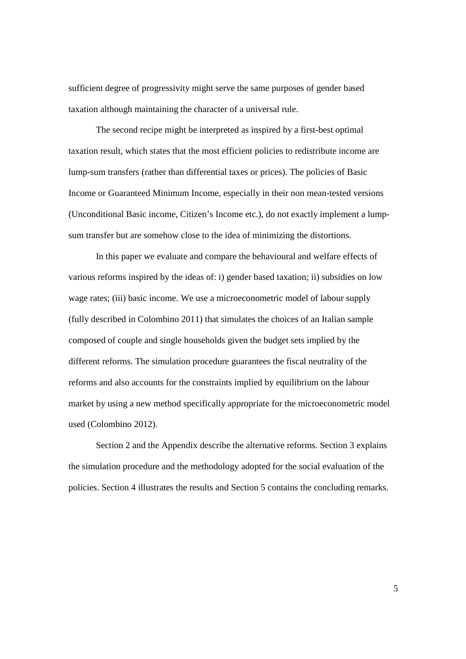sufficient degree of progressivity might serve the same purposes of gender based taxation although maintaining the character of a universal rule.

The second recipe might be interpreted as inspired by a first-best optimal taxation result, which states that the most efficient policies to redistribute income are lump-sum transfers (rather than differential taxes or prices). The policies of Basic Income or Guaranteed Minimum Income, especially in their non mean-tested versions (Unconditional Basic income, Citizen's Income etc.), do not exactly implement a lumpsum transfer but are somehow close to the idea of minimizing the distortions.

In this paper we evaluate and compare the behavioural and welfare effects of various reforms inspired by the ideas of: i) gender based taxation; ii) subsidies on low wage rates; (iii) basic income. We use a microeconometric model of labour supply (fully described in Colombino 2011) that simulates the choices of an Italian sample composed of couple and single households given the budget sets implied by the different reforms. The simulation procedure guarantees the fiscal neutrality of the reforms and also accounts for the constraints implied by equilibrium on the labour market by using a new method specifically appropriate for the microeconometric model used (Colombino 2012).

Section 2 and the Appendix describe the alternative reforms. Section 3 explains the simulation procedure and the methodology adopted for the social evaluation of the policies. Section 4 illustrates the results and Section 5 contains the concluding remarks.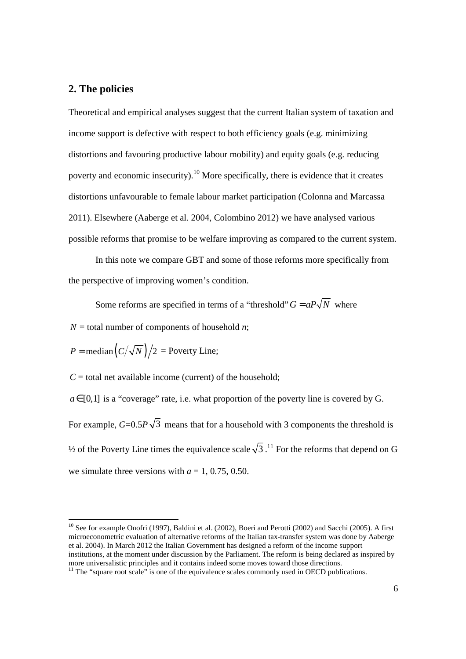#### **2. The policies**

Theoretical and empirical analyses suggest that the current Italian system of taxation and income support is defective with respect to both efficiency goals (e.g. minimizing distortions and favouring productive labour mobility) and equity goals (e.g. reducing poverty and economic insecurity).<sup>10</sup> More specifically, there is evidence that it creates distortions unfavourable to female labour market participation (Colonna and Marcassa 2011). Elsewhere (Aaberge et al. 2004, Colombino 2012) we have analysed various possible reforms that promise to be welfare improving as compared to the current system.

In this note we compare GBT and some of those reforms more specifically from the perspective of improving women's condition.

Some reforms are specified in terms of a "threshold"  $G = aP\sqrt{N}$  where

 $N =$  total number of components of household *n*;

$$
P = \text{median}\left(\frac{C}{\sqrt{N}}\right)/2 = \text{Poverty Line};
$$

 $C =$  total net available income (current) of the household;

 $a \in [0,1]$  is a "coverage" rate, i.e. what proportion of the poverty line is covered by G. For example,  $G=0.5P\sqrt{3}$  means that for a household with 3 components the threshold is  $\frac{1}{2}$  of the Poverty Line times the equivalence scale  $\sqrt{3}$ .<sup>11</sup> For the reforms that depend on G we simulate three versions with  $a = 1, 0.75, 0.50$ .

<sup>&</sup>lt;sup>10</sup> See for example Onofri (1997), Baldini et al. (2002), Boeri and Perotti (2002) and Sacchi (2005). A first microeconometric evaluation of alternative reforms of the Italian tax-transfer system was done by Aaberge et al. 2004). In March 2012 the Italian Government has designed a reform of the income support institutions, at the moment under discussion by the Parliament. The reform is being declared as inspired by more universalistic principles and it contains indeed some moves toward those directions.

<sup>&</sup>lt;sup>11</sup> The "square root scale" is one of the equivalence scales commonly used in OECD publications.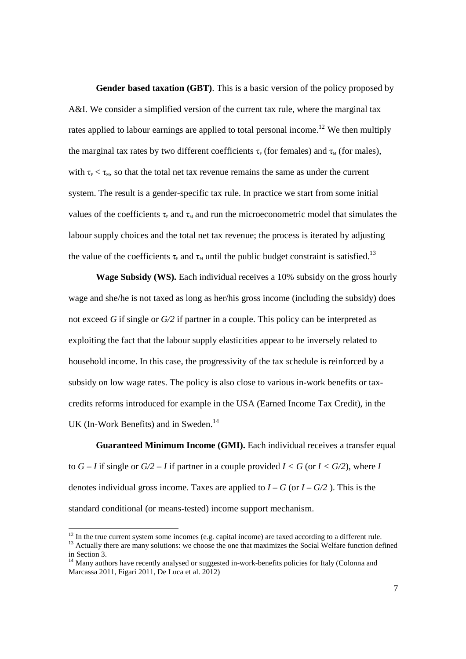**Gender based taxation (GBT)**. This is a basic version of the policy proposed by A&I. We consider a simplified version of the current tax rule, where the marginal tax rates applied to labour earnings are applied to total personal income.<sup>12</sup> We then multiply the marginal tax rates by two different coefficients  $\tau_F$  (for females) and  $\tau_M$  (for males), with  $\tau_{\rm F} < \tau_{\rm M}$ , so that the total net tax revenue remains the same as under the current system. The result is a gender-specific tax rule. In practice we start from some initial values of the coefficients  $\tau_F$  and  $\tau_M$  and run the microeconometric model that simulates the labour supply choices and the total net tax revenue; the process is iterated by adjusting the value of the coefficients  $\tau_F$  and  $\tau_M$  until the public budget constraint is satisfied.<sup>13</sup>

**Wage Subsidy (WS).** Each individual receives a 10% subsidy on the gross hourly wage and she/he is not taxed as long as her/his gross income (including the subsidy) does not exceed *G* if single or *G/2* if partner in a couple. This policy can be interpreted as exploiting the fact that the labour supply elasticities appear to be inversely related to household income. In this case, the progressivity of the tax schedule is reinforced by a subsidy on low wage rates. The policy is also close to various in-work benefits or taxcredits reforms introduced for example in the USA (Earned Income Tax Credit), in the UK (In-Work Benefits) and in Sweden.<sup>14</sup>

**Guaranteed Minimum Income (GMI).** Each individual receives a transfer equal to  $G - I$  if single or  $G/2 - I$  if partner in a couple provided  $I < G$  (or  $I < G/2$ ), where *I* denotes individual gross income. Taxes are applied to  $I - G$  (or  $I - G/2$ ). This is the standard conditional (or means-tested) income support mechanism.

l

 $12$  In the true current system some incomes (e.g. capital income) are taxed according to a different rule. <sup>13</sup> Actually there are many solutions: we choose the one that maximizes the Social Welfare function defined

in Section 3.

 $14$  Many authors have recently analysed or suggested in-work-benefits policies for Italy (Colonna and Marcassa 2011, Figari 2011, De Luca et al. 2012)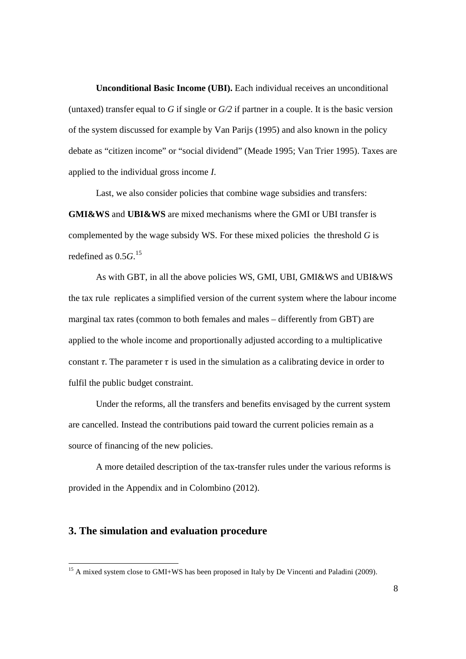**Unconditional Basic Income (UBI).** Each individual receives an unconditional (untaxed) transfer equal to *G* if single or *G/2* if partner in a couple. It is the basic version of the system discussed for example by Van Parijs (1995) and also known in the policy debate as "citizen income" or "social dividend" (Meade 1995; Van Trier 1995). Taxes are applied to the individual gross income *I*.

Last, we also consider policies that combine wage subsidies and transfers: **GMI&WS** and **UBI&WS** are mixed mechanisms where the GMI or UBI transfer is complemented by the wage subsidy WS. For these mixed policies the threshold *G* is redefined as 0.5*G*. 15

As with GBT, in all the above policies WS, GMI, UBI, GMI&WS and UBI&WS the tax rule replicates a simplified version of the current system where the labour income marginal tax rates (common to both females and males – differently from GBT) are applied to the whole income and proportionally adjusted according to a multiplicative constant  $\tau$ . The parameter  $\tau$  is used in the simulation as a calibrating device in order to fulfil the public budget constraint.

Under the reforms, all the transfers and benefits envisaged by the current system are cancelled. Instead the contributions paid toward the current policies remain as a source of financing of the new policies.

A more detailed description of the tax-transfer rules under the various reforms is provided in the Appendix and in Colombino (2012).

### **3. The simulation and evaluation procedure**

 $15$  A mixed system close to GMI+WS has been proposed in Italy by De Vincenti and Paladini (2009).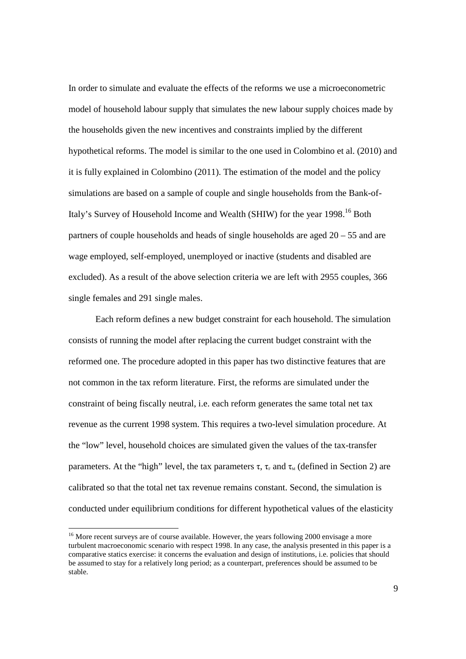In order to simulate and evaluate the effects of the reforms we use a microeconometric model of household labour supply that simulates the new labour supply choices made by the households given the new incentives and constraints implied by the different hypothetical reforms. The model is similar to the one used in Colombino et al. (2010) and it is fully explained in Colombino (2011). The estimation of the model and the policy simulations are based on a sample of couple and single households from the Bank-of-Italy's Survey of Household Income and Wealth (SHIW) for the year 1998.<sup>16</sup> Both partners of couple households and heads of single households are aged 20 – 55 and are wage employed, self-employed, unemployed or inactive (students and disabled are excluded). As a result of the above selection criteria we are left with 2955 couples, 366 single females and 291 single males.

Each reform defines a new budget constraint for each household. The simulation consists of running the model after replacing the current budget constraint with the reformed one. The procedure adopted in this paper has two distinctive features that are not common in the tax reform literature. First, the reforms are simulated under the constraint of being fiscally neutral, i.e. each reform generates the same total net tax revenue as the current 1998 system. This requires a two-level simulation procedure. At the "low" level, household choices are simulated given the values of the tax-transfer parameters. At the "high" level, the tax parameters  $\tau$ ,  $\tau_F$  and  $\tau_M$  (defined in Section 2) are calibrated so that the total net tax revenue remains constant. Second, the simulation is conducted under equilibrium conditions for different hypothetical values of the elasticity

l

<sup>&</sup>lt;sup>16</sup> More recent surveys are of course available. However, the years following 2000 envisage a more turbulent macroeconomic scenario with respect 1998. In any case, the analysis presented in this paper is a comparative statics exercise: it concerns the evaluation and design of institutions, i.e. policies that should be assumed to stay for a relatively long period; as a counterpart, preferences should be assumed to be stable.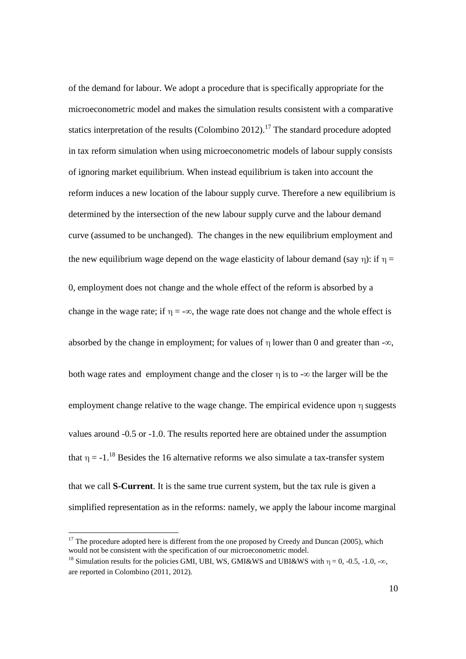of the demand for labour. We adopt a procedure that is specifically appropriate for the microeconometric model and makes the simulation results consistent with a comparative statics interpretation of the results (Colombino 2012).<sup>17</sup> The standard procedure adopted in tax reform simulation when using microeconometric models of labour supply consists of ignoring market equilibrium. When instead equilibrium is taken into account the reform induces a new location of the labour supply curve. Therefore a new equilibrium is determined by the intersection of the new labour supply curve and the labour demand curve (assumed to be unchanged). The changes in the new equilibrium employment and the new equilibrium wage depend on the wage elasticity of labour demand (say  $\eta$ ): if  $\eta$  = 0, employment does not change and the whole effect of the reform is absorbed by a change in the wage rate; if  $\eta = -\infty$ , the wage rate does not change and the whole effect is absorbed by the change in employment; for values of  $\eta$  lower than 0 and greater than - $\infty$ , both wage rates and employment change and the closer  $\eta$  is to - $\infty$  the larger will be the employment change relative to the wage change. The empirical evidence upon η suggests values around -0.5 or -1.0. The results reported here are obtained under the assumption that  $\eta = -1$ .<sup>18</sup> Besides the 16 alternative reforms we also simulate a tax-transfer system that we call **S-Current**. It is the same true current system, but the tax rule is given a simplified representation as in the reforms: namely, we apply the labour income marginal

 $17$  The procedure adopted here is different from the one proposed by Creedy and Duncan (2005), which would not be consistent with the specification of our microeconometric model.

<sup>&</sup>lt;sup>18</sup> Simulation results for the policies GMI, UBI, WS, GMI&WS and UBI&WS with  $\eta = 0$ , -0.5, -1.0, -∞, are reported in Colombino (2011, 2012).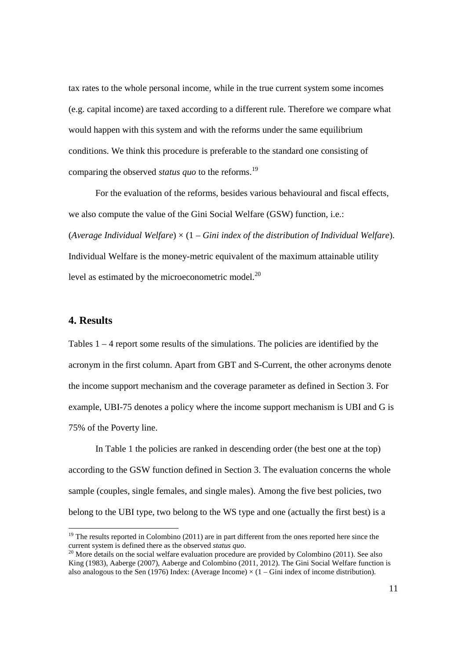tax rates to the whole personal income, while in the true current system some incomes (e.g. capital income) are taxed according to a different rule. Therefore we compare what would happen with this system and with the reforms under the same equilibrium conditions. We think this procedure is preferable to the standard one consisting of comparing the observed *status quo* to the reforms.<sup>19</sup>

For the evaluation of the reforms, besides various behavioural and fiscal effects, we also compute the value of the Gini Social Welfare (GSW) function, i.e.: (*Average Individual Welfare*) × (1 – *Gini index of the distribution of Individual Welfare*). Individual Welfare is the money-metric equivalent of the maximum attainable utility level as estimated by the microeconometric model. $^{20}$ 

#### **4. Results**

l

Tables  $1 - 4$  report some results of the simulations. The policies are identified by the acronym in the first column. Apart from GBT and S-Current, the other acronyms denote the income support mechanism and the coverage parameter as defined in Section 3. For example, UBI-75 denotes a policy where the income support mechanism is UBI and G is 75% of the Poverty line.

In Table 1 the policies are ranked in descending order (the best one at the top) according to the GSW function defined in Section 3. The evaluation concerns the whole sample (couples, single females, and single males). Among the five best policies, two belong to the UBI type, two belong to the WS type and one (actually the first best) is a

 $19$  The results reported in Colombino (2011) are in part different from the ones reported here since the current system is defined there as the observed *status quo*.

 $20$  More details on the social welfare evaluation procedure are provided by Colombino (2011). See also King (1983), Aaberge (2007), Aaberge and Colombino (2011, 2012). The Gini Social Welfare function is also analogous to the Sen (1976) Index: (Average Income)  $\times$  (1 – Gini index of income distribution).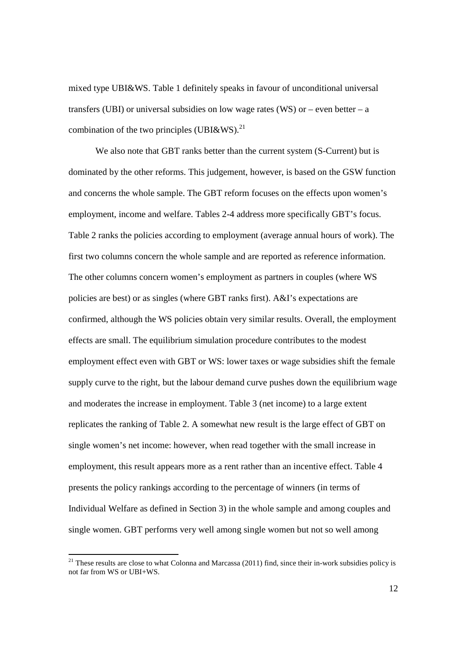mixed type UBI&WS. Table 1 definitely speaks in favour of unconditional universal transfers (UBI) or universal subsidies on low wage rates (WS) or – even better – a combination of the two principles (UBI&WS).<sup>21</sup>

We also note that GBT ranks better than the current system (S-Current) but is dominated by the other reforms. This judgement, however, is based on the GSW function and concerns the whole sample. The GBT reform focuses on the effects upon women's employment, income and welfare. Tables 2-4 address more specifically GBT's focus. Table 2 ranks the policies according to employment (average annual hours of work). The first two columns concern the whole sample and are reported as reference information. The other columns concern women's employment as partners in couples (where WS policies are best) or as singles (where GBT ranks first). A&I's expectations are confirmed, although the WS policies obtain very similar results. Overall, the employment effects are small. The equilibrium simulation procedure contributes to the modest employment effect even with GBT or WS: lower taxes or wage subsidies shift the female supply curve to the right, but the labour demand curve pushes down the equilibrium wage and moderates the increase in employment. Table 3 (net income) to a large extent replicates the ranking of Table 2. A somewhat new result is the large effect of GBT on single women's net income: however, when read together with the small increase in employment, this result appears more as a rent rather than an incentive effect. Table 4 presents the policy rankings according to the percentage of winners (in terms of Individual Welfare as defined in Section 3) in the whole sample and among couples and single women. GBT performs very well among single women but not so well among

 $\overline{a}$ 

 $21$  These results are close to what Colonna and Marcassa (2011) find, since their in-work subsidies policy is not far from WS or UBI+WS.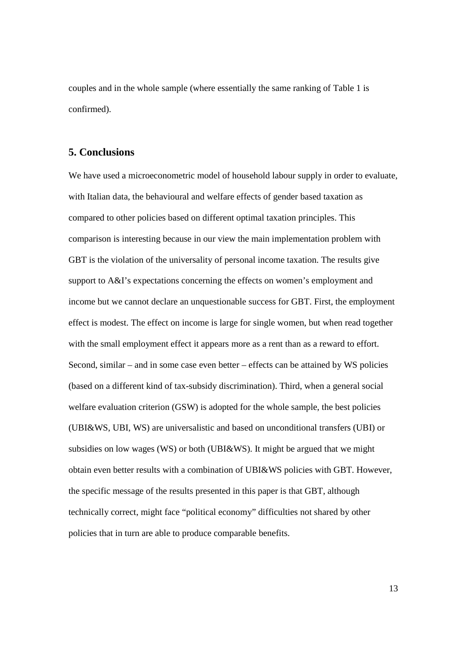couples and in the whole sample (where essentially the same ranking of Table 1 is confirmed).

### **5. Conclusions**

We have used a microeconometric model of household labour supply in order to evaluate, with Italian data, the behavioural and welfare effects of gender based taxation as compared to other policies based on different optimal taxation principles. This comparison is interesting because in our view the main implementation problem with GBT is the violation of the universality of personal income taxation. The results give support to A&I's expectations concerning the effects on women's employment and income but we cannot declare an unquestionable success for GBT. First, the employment effect is modest. The effect on income is large for single women, but when read together with the small employment effect it appears more as a rent than as a reward to effort. Second, similar – and in some case even better – effects can be attained by WS policies (based on a different kind of tax-subsidy discrimination). Third, when a general social welfare evaluation criterion (GSW) is adopted for the whole sample, the best policies (UBI&WS, UBI, WS) are universalistic and based on unconditional transfers (UBI) or subsidies on low wages (WS) or both (UBI&WS). It might be argued that we might obtain even better results with a combination of UBI&WS policies with GBT. However, the specific message of the results presented in this paper is that GBT, although technically correct, might face "political economy" difficulties not shared by other policies that in turn are able to produce comparable benefits.

13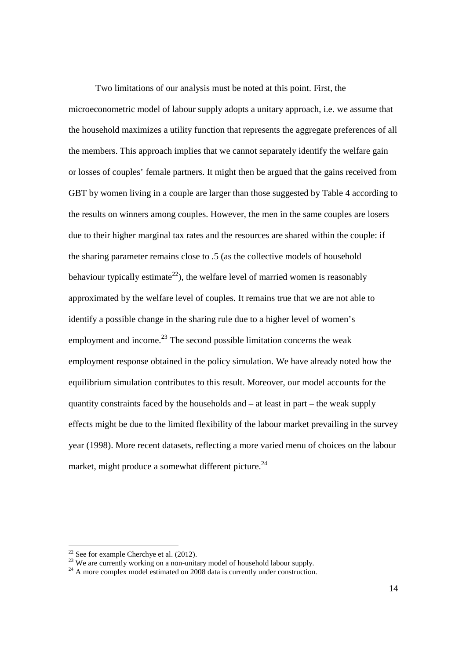Two limitations of our analysis must be noted at this point. First, the microeconometric model of labour supply adopts a unitary approach, i.e. we assume that the household maximizes a utility function that represents the aggregate preferences of all the members. This approach implies that we cannot separately identify the welfare gain or losses of couples' female partners. It might then be argued that the gains received from GBT by women living in a couple are larger than those suggested by Table 4 according to the results on winners among couples. However, the men in the same couples are losers due to their higher marginal tax rates and the resources are shared within the couple: if the sharing parameter remains close to .5 (as the collective models of household behaviour typically estimate<sup>22</sup>), the welfare level of married women is reasonably approximated by the welfare level of couples. It remains true that we are not able to identify a possible change in the sharing rule due to a higher level of women's employment and income.<sup>23</sup> The second possible limitation concerns the weak employment response obtained in the policy simulation. We have already noted how the equilibrium simulation contributes to this result. Moreover, our model accounts for the quantity constraints faced by the households and  $-$  at least in part  $-$  the weak supply effects might be due to the limited flexibility of the labour market prevailing in the survey year (1998). More recent datasets, reflecting a more varied menu of choices on the labour market, might produce a somewhat different picture.<sup>24</sup>

l

 $22$  See for example Cherchye et al. (2012).

<sup>&</sup>lt;sup>23</sup> We are currently working on a non-unitary model of household labour supply.

 $24$  A more complex model estimated on 2008 data is currently under construction.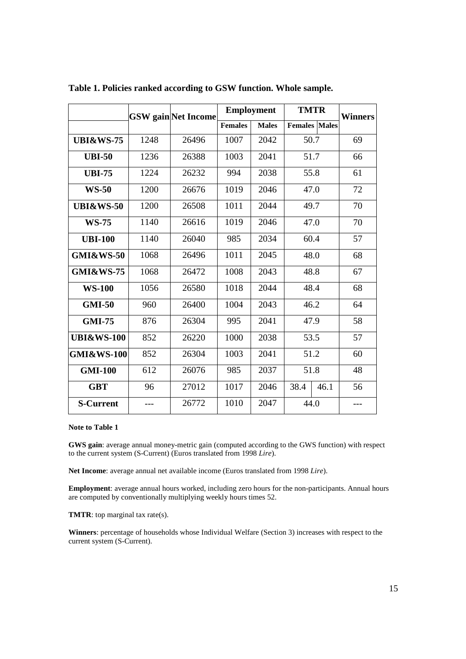|                       |      | <b>GSW</b> gain Net Income | <b>Employment</b> |              | <b>TMTR</b>          |      | <b>Winners</b> |
|-----------------------|------|----------------------------|-------------------|--------------|----------------------|------|----------------|
|                       |      |                            | <b>Females</b>    | <b>Males</b> | <b>Females</b> Males |      |                |
| <b>UBI&amp;WS-75</b>  | 1248 | 26496                      | 1007              | 2042         | 50.7                 |      | 69             |
| <b>UBI-50</b>         | 1236 | 26388                      | 1003              | 2041         | 51.7                 |      | 66             |
| <b>UBI-75</b>         | 1224 | 26232                      | 994               | 2038         | 55.8                 |      | 61             |
| <b>WS-50</b>          | 1200 | 26676                      | 1019              | 2046         | 47.0                 |      | 72             |
| <b>UBI&amp;WS-50</b>  | 1200 | 26508                      | 1011              | 2044         | 49.7                 |      | 70             |
| <b>WS-75</b>          | 1140 | 26616                      | 1019              | 2046         | 47.0                 |      | 70             |
| <b>UBI-100</b>        | 1140 | 26040                      | 985               | 2034         | 60.4                 |      | 57             |
| <b>GMI&amp;WS-50</b>  | 1068 | 26496                      | 1011              | 2045         | 48.0                 |      | 68             |
| <b>GMI&amp;WS-75</b>  | 1068 | 26472                      | 1008              | 2043         | 48.8                 |      | 67             |
| <b>WS-100</b>         | 1056 | 26580                      | 1018              | 2044         | 48.4                 |      | 68             |
| <b>GMI-50</b>         | 960  | 26400                      | 1004              | 2043         | 46.2                 |      | 64             |
| <b>GMI-75</b>         | 876  | 26304                      | 995               | 2041         | 47.9                 |      | 58             |
| <b>UBI&amp;WS-100</b> | 852  | 26220                      | 1000              | 2038         | 53.5                 |      | 57             |
| <b>GMI&amp;WS-100</b> | 852  | 26304                      | 1003              | 2041         | 51.2                 |      | 60             |
| <b>GMI-100</b>        | 612  | 26076                      | 985               | 2037         | 51.8                 |      | 48             |
| <b>GBT</b>            | 96   | 27012                      | 1017              | 2046         | 38.4                 | 46.1 | 56             |
| <b>S-Current</b>      |      | 26772                      | 1010              | 2047         | 44.0                 |      |                |

**Table 1. Policies ranked according to GSW function. Whole sample.** 

#### **Note to Table 1**

**GWS gain**: average annual money-metric gain (computed according to the GWS function) with respect to the current system (S-Current) (Euros translated from 1998 *Lire*).

**Net Income**: average annual net available income (Euros translated from 1998 *Lire*).

**Employment**: average annual hours worked, including zero hours for the non-participants. Annual hours are computed by conventionally multiplying weekly hours times 52.

**TMTR**: top marginal tax rate(s).

**Winners**: percentage of households whose Individual Welfare (Section 3) increases with respect to the current system (S-Current).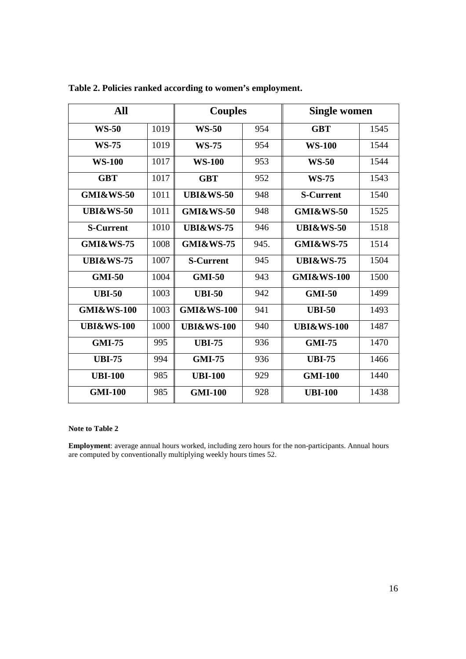| All                   |      | <b>Couples</b>        |      | <b>Single women</b>   |      |
|-----------------------|------|-----------------------|------|-----------------------|------|
| <b>WS-50</b>          | 1019 | <b>WS-50</b>          | 954  | <b>GBT</b>            | 1545 |
| <b>WS-75</b>          | 1019 | <b>WS-75</b>          | 954  | <b>WS-100</b>         | 1544 |
| <b>WS-100</b>         | 1017 | <b>WS-100</b>         | 953  | <b>WS-50</b>          | 1544 |
| <b>GBT</b>            | 1017 | <b>GBT</b>            | 952  | <b>WS-75</b>          | 1543 |
| <b>GMI&amp;WS-50</b>  | 1011 | <b>UBI&amp;WS-50</b>  | 948  | <b>S-Current</b>      | 1540 |
| <b>UBI&amp;WS-50</b>  | 1011 | <b>GMI&amp;WS-50</b>  | 948  | <b>GMI&amp;WS-50</b>  | 1525 |
| <b>S-Current</b>      | 1010 | <b>UBI&amp;WS-75</b>  | 946  | <b>UBI&amp;WS-50</b>  | 1518 |
| <b>GMI&amp;WS-75</b>  | 1008 | <b>GMI&amp;WS-75</b>  | 945. | <b>GMI&amp;WS-75</b>  | 1514 |
| <b>UBI&amp;WS-75</b>  | 1007 | <b>S-Current</b>      | 945  | <b>UBI&amp;WS-75</b>  | 1504 |
| <b>GMI-50</b>         | 1004 | <b>GMI-50</b>         | 943  | <b>GMI&amp;WS-100</b> | 1500 |
| <b>UBI-50</b>         | 1003 | <b>UBI-50</b>         | 942  | <b>GMI-50</b>         | 1499 |
| <b>GMI&amp;WS-100</b> | 1003 | <b>GMI&amp;WS-100</b> | 941  | <b>UBI-50</b>         | 1493 |
| <b>UBI&amp;WS-100</b> | 1000 | <b>UBI&amp;WS-100</b> | 940  | <b>UBI&amp;WS-100</b> | 1487 |
| <b>GMI-75</b>         | 995  | <b>UBI-75</b>         | 936  | <b>GMI-75</b>         | 1470 |
| <b>UBI-75</b>         | 994  | <b>GMI-75</b>         | 936  | <b>UBI-75</b>         | 1466 |
| <b>UBI-100</b>        | 985  | <b>UBI-100</b>        | 929  | <b>GMI-100</b>        | 1440 |
| <b>GMI-100</b>        | 985  | <b>GMI-100</b>        | 928  | <b>UBI-100</b>        | 1438 |

**Table 2. Policies ranked according to women's employment.** 

#### **Note to Table 2**

**Employment**: average annual hours worked, including zero hours for the non-participants. Annual hours are computed by conventionally multiplying weekly hours times 52.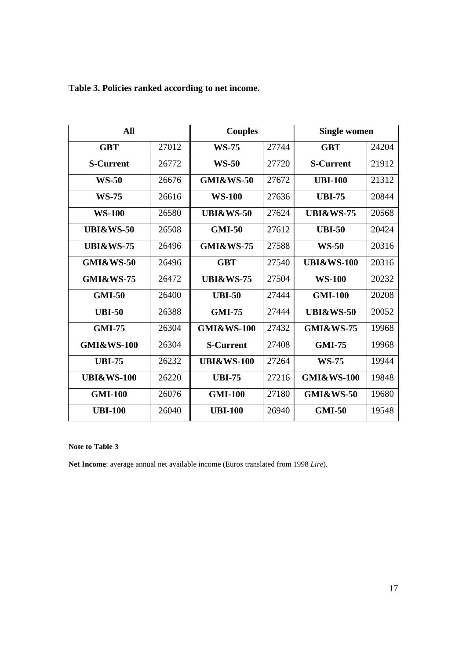| All                   |       | <b>Couples</b>        |       | <b>Single women</b>   |       |
|-----------------------|-------|-----------------------|-------|-----------------------|-------|
| <b>GBT</b>            | 27012 | <b>WS-75</b>          | 27744 | <b>GBT</b>            | 24204 |
| <b>S-Current</b>      | 26772 | <b>WS-50</b>          | 27720 | <b>S-Current</b>      | 21912 |
| <b>WS-50</b>          | 26676 | <b>GMI&amp;WS-50</b>  | 27672 | <b>UBI-100</b>        | 21312 |
| <b>WS-75</b>          | 26616 | <b>WS-100</b>         | 27636 | <b>UBI-75</b>         | 20844 |
| <b>WS-100</b>         | 26580 | <b>UBI&amp;WS-50</b>  | 27624 | <b>UBI&amp;WS-75</b>  | 20568 |
| <b>UBI&amp;WS-50</b>  | 26508 | <b>GMI-50</b>         | 27612 | <b>UBI-50</b>         | 20424 |
| <b>UBI&amp;WS-75</b>  | 26496 | <b>GMI&amp;WS-75</b>  | 27588 | <b>WS-50</b>          | 20316 |
| <b>GMI&amp;WS-50</b>  | 26496 | <b>GBT</b>            | 27540 | <b>UBI&amp;WS-100</b> | 20316 |
| GMI&WS-75             | 26472 | <b>UBI&amp;WS-75</b>  | 27504 | <b>WS-100</b>         | 20232 |
| <b>GMI-50</b>         | 26400 | <b>UBI-50</b>         | 27444 | <b>GMI-100</b>        | 20208 |
| <b>UBI-50</b>         | 26388 | <b>GMI-75</b>         | 27444 | <b>UBI&amp;WS-50</b>  | 20052 |
| <b>GMI-75</b>         | 26304 | <b>GMI&amp;WS-100</b> | 27432 | <b>GMI&amp;WS-75</b>  | 19968 |
| <b>GMI&amp;WS-100</b> | 26304 | <b>S-Current</b>      | 27408 | <b>GMI-75</b>         | 19968 |
| <b>UBI-75</b>         | 26232 | <b>UBI&amp;WS-100</b> | 27264 | <b>WS-75</b>          | 19944 |
| <b>UBI&amp;WS-100</b> | 26220 | <b>UBI-75</b>         | 27216 | <b>GMI&amp;WS-100</b> | 19848 |
| <b>GMI-100</b>        | 26076 | <b>GMI-100</b>        | 27180 | <b>GMI&amp;WS-50</b>  | 19680 |
| <b>UBI-100</b>        | 26040 | <b>UBI-100</b>        | 26940 | <b>GMI-50</b>         | 19548 |

**Table 3. Policies ranked according to net income.** 

#### **Note to Table 3**

**Net Income**: average annual net available income (Euros translated from 1998 *Lire*).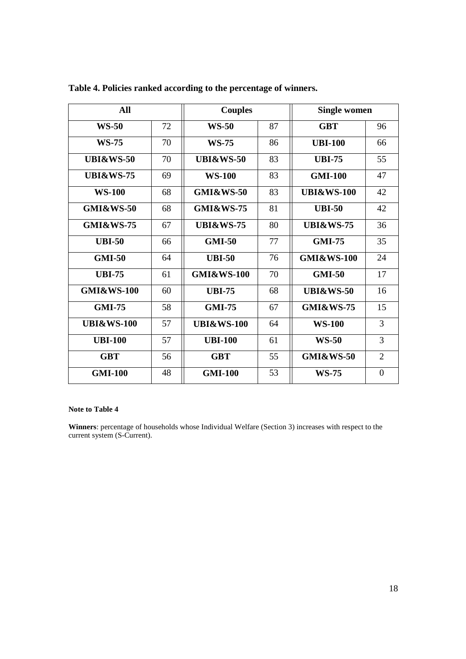| All                   |    | <b>Couples</b>        |    | <b>Single women</b>   |                |
|-----------------------|----|-----------------------|----|-----------------------|----------------|
| <b>WS-50</b>          | 72 | <b>WS-50</b>          | 87 | <b>GBT</b>            | 96             |
| <b>WS-75</b>          | 70 | <b>WS-75</b>          | 86 | <b>UBI-100</b>        | 66             |
| <b>UBI&amp;WS-50</b>  | 70 | <b>UBI&amp;WS-50</b>  | 83 | <b>UBI-75</b>         | 55             |
| <b>UBI&amp;WS-75</b>  | 69 | <b>WS-100</b>         | 83 | <b>GMI-100</b>        | 47             |
| <b>WS-100</b>         | 68 | <b>GMI&amp;WS-50</b>  | 83 | <b>UBI&amp;WS-100</b> | 42             |
| <b>GMI&amp;WS-50</b>  | 68 | <b>GMI&amp;WS-75</b>  | 81 | <b>UBI-50</b>         | 42             |
| <b>GMI&amp;WS-75</b>  | 67 | <b>UBI&amp;WS-75</b>  | 80 | <b>UBI&amp;WS-75</b>  | 36             |
| <b>UBI-50</b>         | 66 | <b>GMI-50</b>         | 77 | <b>GMI-75</b>         | 35             |
| <b>GMI-50</b>         | 64 | <b>UBI-50</b>         | 76 | <b>GMI&amp;WS-100</b> | 24             |
| <b>UBI-75</b>         | 61 | <b>GMI&amp;WS-100</b> | 70 | <b>GMI-50</b>         | 17             |
| <b>GMI&amp;WS-100</b> | 60 | <b>UBI-75</b>         | 68 | <b>UBI&amp;WS-50</b>  | 16             |
| <b>GMI-75</b>         | 58 | <b>GMI-75</b>         | 67 | <b>GMI&amp;WS-75</b>  | 15             |
| <b>UBI&amp;WS-100</b> | 57 | <b>UBI&amp;WS-100</b> | 64 | <b>WS-100</b>         | 3              |
| <b>UBI-100</b>        | 57 | <b>UBI-100</b>        | 61 | <b>WS-50</b>          | 3              |
| <b>GBT</b>            | 56 | <b>GBT</b>            | 55 | GMI&WS-50             | $\overline{2}$ |
| <b>GMI-100</b>        | 48 | <b>GMI-100</b>        | 53 | <b>WS-75</b>          | $\theta$       |

**Table 4. Policies ranked according to the percentage of winners.** 

#### **Note to Table 4**

**Winners**: percentage of households whose Individual Welfare (Section 3) increases with respect to the current system (S-Current).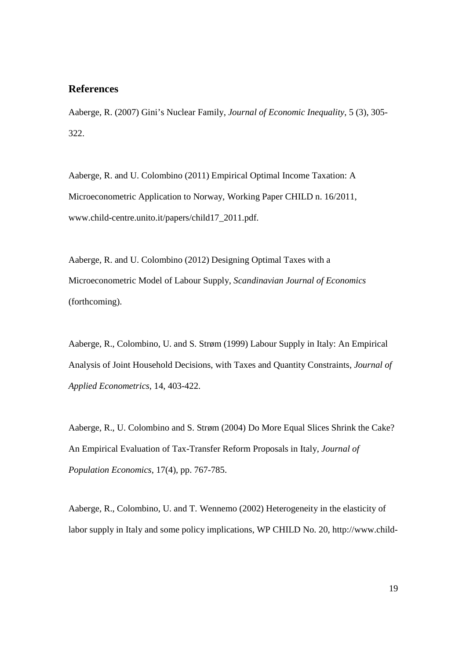### **References**

Aaberge, R. (2007) Gini's Nuclear Family, *Journal of Economic Inequality*, 5 (3), 305- 322.

Aaberge, R. and U. Colombino (2011) Empirical Optimal Income Taxation: A Microeconometric Application to Norway, Working Paper CHILD n. 16/2011, www.child-centre.unito.it/papers/child17\_2011.pdf.

Aaberge, R. and U. Colombino (2012) Designing Optimal Taxes with a Microeconometric Model of Labour Supply, *Scandinavian Journal of Economics* (forthcoming).

Aaberge, R., Colombino, U. and S. Strøm (1999) Labour Supply in Italy: An Empirical Analysis of Joint Household Decisions, with Taxes and Quantity Constraints, *Journal of Applied Econometrics*, 14, 403-422.

Aaberge, R., U. Colombino and S. Strøm (2004) Do More Equal Slices Shrink the Cake? An Empirical Evaluation of Tax-Transfer Reform Proposals in Italy, *Journal of Population Economics*, 17(4), pp. 767-785.

Aaberge, R., Colombino, U. and T. Wennemo (2002) Heterogeneity in the elasticity of labor supply in Italy and some policy implications, WP CHILD No. 20, http://www.child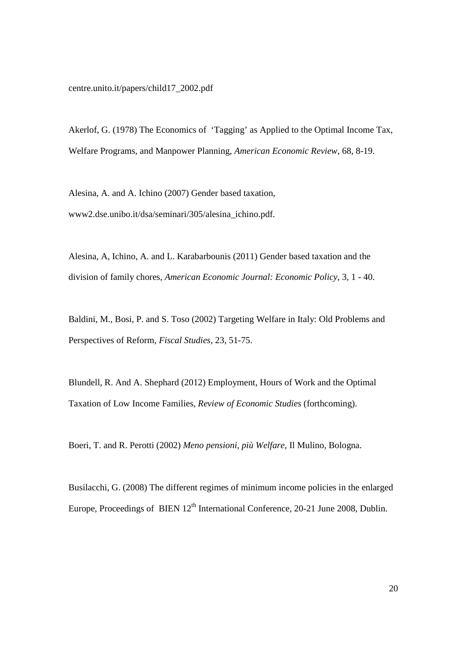centre.unito.it/papers/child17\_2002.pdf

Akerlof, G. (1978) The Economics of 'Tagging' as Applied to the Optimal Income Tax, Welfare Programs, and Manpower Planning, *American Economic Review*, 68, 8-19.

Alesina, A. and A. Ichino (2007) Gender based taxation, www2.dse.unibo.it/dsa/seminari/305/alesina\_ichino.pdf.

Alesina, A, Ichino, A. and L. Karabarbounis (2011) Gender based taxation and the division of family chores, *American Economic Journal: Economic Policy*, 3, 1 - 40.

Baldini, M., Bosi, P. and S. Toso (2002) Targeting Welfare in Italy: Old Problems and Perspectives of Reform*, Fiscal Studies*, 23, 51-75.

Blundell, R. And A. Shephard (2012) Employment, Hours of Work and the Optimal Taxation of Low Income Families, *Review of Economic Studies* (forthcoming).

Boeri, T. and R. Perotti (2002) *Meno pensioni, più Welfare*, Il Mulino, Bologna.

Busilacchi, G. (2008) The different regimes of minimum income policies in the enlarged Europe, Proceedings of BIEN  $12<sup>th</sup>$  International Conference, 20-21 June 2008, Dublin.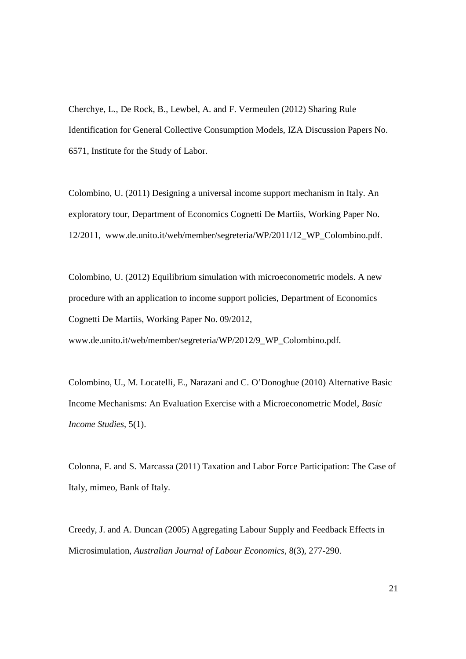Cherchye, L., De Rock, B., Lewbel, A. and F. Vermeulen (2012) Sharing Rule Identification for General Collective Consumption Models, IZA Discussion Papers No. 6571, Institute for the Study of Labor.

Colombino, U. (2011) Designing a universal income support mechanism in Italy. An exploratory tour, Department of Economics Cognetti De Martiis, Working Paper No. 12/2011, www.de.unito.it/web/member/segreteria/WP/2011/12\_WP\_Colombino.pdf.

Colombino, U. (2012) Equilibrium simulation with microeconometric models. A new procedure with an application to income support policies, Department of Economics Cognetti De Martiis, Working Paper No. 09/2012,

www.de.unito.it/web/member/segreteria/WP/2012/9\_WP\_Colombino.pdf.

Colombino, U., M. Locatelli, E., Narazani and C. O'Donoghue (2010) Alternative Basic Income Mechanisms: An Evaluation Exercise with a Microeconometric Model, *Basic Income Studies*, 5(1).

Colonna, F. and S. Marcassa (2011) Taxation and Labor Force Participation: The Case of Italy, mimeo, Bank of Italy.

Creedy, J. and A. Duncan (2005) Aggregating Labour Supply and Feedback Effects in Microsimulation, *Australian Journal of Labour Economics*, 8(3), 277-290.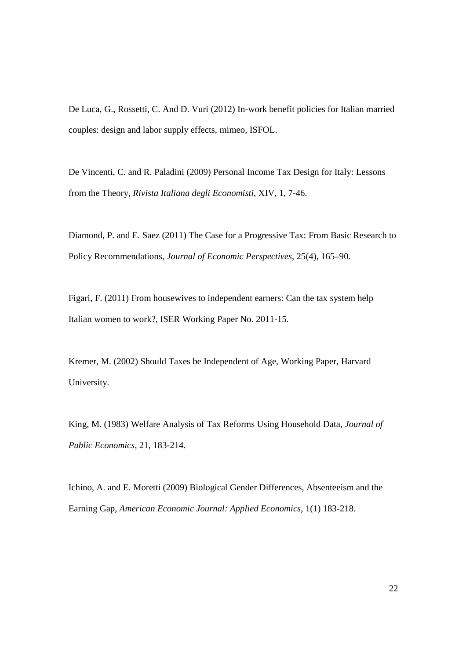De Luca, G., Rossetti, C. And D. Vuri (2012) In-work benefit policies for Italian married couples: design and labor supply effects, mimeo, ISFOL.

De Vincenti, C. and R. Paladini (2009) Personal Income Tax Design for Italy: Lessons from the Theory, *Rivista Italiana degli Economisti*, XIV, 1, 7-46.

Diamond, P. and E. Saez (2011) The Case for a Progressive Tax: From Basic Research to Policy Recommendations, *Journal of Economic Perspectives*, 25(4), 165–90.

Figari, F. (2011) From housewives to independent earners: Can the tax system help Italian women to work?, ISER Working Paper No. 2011-15.

Kremer, M. (2002) Should Taxes be Independent of Age, Working Paper, Harvard University.

King, M. (1983) Welfare Analysis of Tax Reforms Using Household Data, *Journal of Public Economics*, 21, 183-214.

Ichino, A. and E. Moretti (2009) Biological Gender Differences, Absenteeism and the Earning Gap, *American Economic Journal: Applied Economics*, 1(1) 183-218.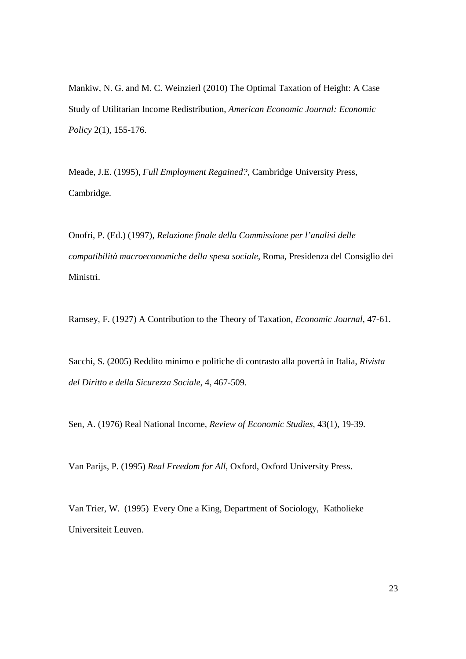Mankiw, N. G. and M. C. Weinzierl (2010) The Optimal Taxation of Height: A Case Study of Utilitarian Income Redistribution, *American Economic Journal: Economic Policy* 2(1), 155-176.

Meade, J.E. (1995), *Full Employment Regained?*, Cambridge University Press, Cambridge.

Onofri, P. (Ed.) (1997), *Relazione finale della Commissione per l'analisi delle compatibilità macroeconomiche della spesa sociale*, Roma, Presidenza del Consiglio dei Ministri.

Ramsey, F. (1927) A Contribution to the Theory of Taxation, *Economic Journal*, 47-61.

Sacchi, S. (2005) Reddito minimo e politiche di contrasto alla povertà in Italia, *Rivista del Diritto e della Sicurezza Sociale*, 4, 467-509.

Sen, A. (1976) Real National Income, *Review of Economic Studies*, 43(1), 19-39.

Van Parijs, P. (1995) *Real Freedom for All*, Oxford, Oxford University Press.

Van Trier, W. (1995) Every One a King, Department of Sociology, Katholieke Universiteit Leuven.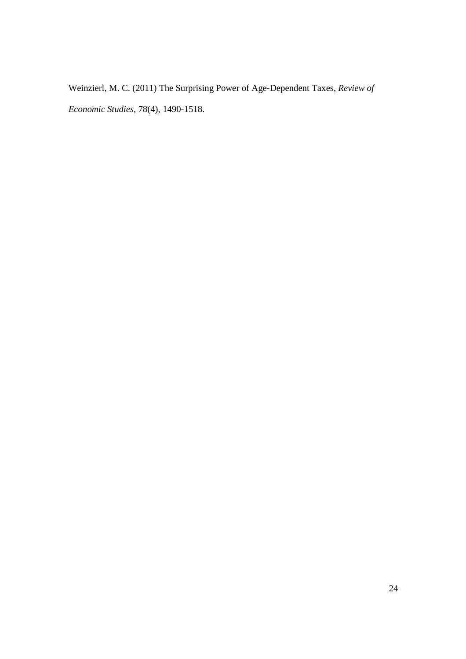Weinzierl, M. C. (2011) The Surprising Power of Age-Dependent Taxes, *Review of Economic Studies*, 78(4), 1490-1518.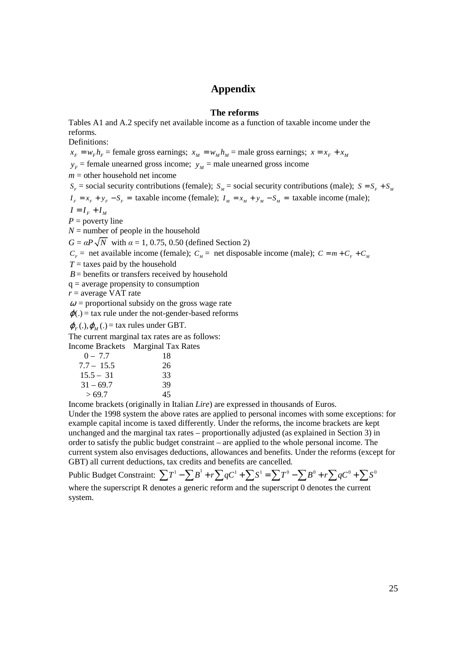### **Appendix**

#### **The reforms**

Tables A1 and A.2 specify net available income as a function of taxable income under the reforms.

Definitions:

 $x_F = w_F h_F$  = female gross earnings;  $x_M = w_M h_M$  = male gross earnings;  $x = x_F + x_M$ 

 $y_F$  = female unearned gross income;  $y_M$  = male unearned gross income

 $m =$  other household net income

 $S_F$  = social security contributions (female); *S<sub>M</sub>* = social security contributions (male); *S* = *S<sub>F</sub>* + *S<sub>M</sub>* 

 $I_F = x_F + y_F - S_F =$  taxable income (female);  $I_M = x_M + y_M - S_M =$  taxable income (male);

 $I = I_F + I_M$ 

 $P =$  poverty line

 $N =$  number of people in the household

 $G = \alpha P \sqrt{N}$  with  $\alpha = 1, 0.75, 0.50$  (defined Section 2)

 $C<sub>F</sub>$  = net available income (female);  $C<sub>M</sub>$  = net disposable income (male);  $C = m + C<sub>F</sub> + C<sub>M</sub>$ 

 $T =$  taxes paid by the household

 $B =$  benefits or transfers received by household

 $q =$  average propensity to consumption

*r* = average VAT rate

 $\omega$  = proportional subsidy on the gross wage rate

 $\varphi(.)$  = tax rule under the not-gender-based reforms

 $\varphi_F(.)$ ,  $\varphi_M(.)$  = tax rules under GBT.

The current marginal tax rates are as follows:

Income Brackets Marginal Tax Rates

| $0 - 7.7$    | 18 |
|--------------|----|
| $7.7 - 15.5$ | 26 |
| $15.5 - 31$  | 33 |
| $31 - 69.7$  | 39 |
| >69.7        | 45 |

Income brackets (originally in Italian *Lire*) are expressed in thousands of Euros.

Under the 1998 system the above rates are applied to personal incomes with some exceptions: for example capital income is taxed differently. Under the reforms, the income brackets are kept unchanged and the marginal tax rates – proportionally adjusted (as explained in Section 3) in order to satisfy the public budget constraint – are applied to the whole personal income. The current system also envisages deductions, allowances and benefits. Under the reforms (except for GBT) all current deductions, tax credits and benefits are cancelled.

Public Budget Constraint:  $\sum T^1 - \sum B^1 + r \sum qC^1 + \sum S^1 = \sum T^0 - \sum B^0 + r \sum qC^0 + \sum S^0$ where the superscript R denotes a generic reform and the superscript 0 denotes the current

system.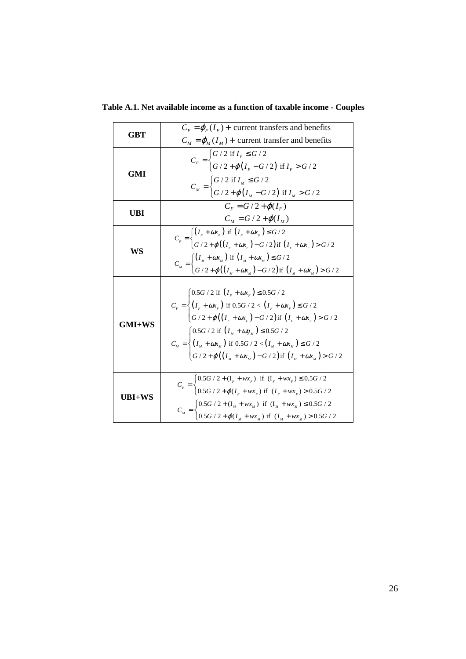|            | $C_F = \varphi_F(I_F)$ + current transfers and benefits                                                                                                                                                                                                                                                                                                                                               |
|------------|-------------------------------------------------------------------------------------------------------------------------------------------------------------------------------------------------------------------------------------------------------------------------------------------------------------------------------------------------------------------------------------------------------|
| GBT        | $C_M = \varphi_M(I_M)$ + current transfer and benefits                                                                                                                                                                                                                                                                                                                                                |
|            |                                                                                                                                                                                                                                                                                                                                                                                                       |
|            | $C_F = \begin{cases} G/2 \text{ if } I_F \leq G/2 \\ G/2 + \varphi(I_F - G/2) \text{ if } I_F > G/2 \end{cases}$                                                                                                                                                                                                                                                                                      |
| <b>GMI</b> |                                                                                                                                                                                                                                                                                                                                                                                                       |
|            | $C_{_M}=\begin{cases} G\,/\,2\text{\ if\ }I_M\leq G\,/\,2\\ G\,/\,2+\varphi\left(\,I_M-G\,/\,2\,\right)\text{\ if\ }I_M>G\,/\,2 \end{cases}$                                                                                                                                                                                                                                                          |
|            | $C_{r} = G/2 + \varphi(I_{r})$                                                                                                                                                                                                                                                                                                                                                                        |
| UBI        | $C_{\mu} = G/2 + \varphi(I_{\mu})$                                                                                                                                                                                                                                                                                                                                                                    |
| WS         | $\overline{C_F} = \begin{cases} (I_F + \omega x_F) & \text{if } (I_F + \omega x_F) \leq G/2 \\ G/2 + \varphi((I_F + \omega x_F) - G/2) & \text{if } (I_F + \omega x_F) > G/2 \end{cases}$                                                                                                                                                                                                             |
|            |                                                                                                                                                                                                                                                                                                                                                                                                       |
|            | $C_{_M}=\begin{cases} \left(I_{_M}+\omega x_{_M}\right) \text{ if }\left(I_{_M}+\omega x_{_M}\right)\leq G\, / \,2 \\ G\, / \,2+\varphi\big(\left(I_{_M}+\omega x_{_M}\right)-G\, / \,2\big) \text{ if }\left(I_{_M}+\omega x_{_M}\right)>\leq G\, / \,2 \end{cases}$                                                                                                                                 |
|            |                                                                                                                                                                                                                                                                                                                                                                                                       |
|            |                                                                                                                                                                                                                                                                                                                                                                                                       |
|            | $C_{_F}=\begin{cases} 0.5G\,/\,2\,\,{\rm if}\,\,\left(\,I_{_F}+\omega x_{_F}\,\right)\leq 0.5G\,/\,2 \\[0.4cm] \left(\,I_{_F}+\omega x_{_F}\,\right)\,\,{\rm if}\,\,0.5G\,/\,2<\,\left(\,I_{_F}+\omega x_{_F}\,\right)\leq G\,/\,2 \\[0.4cm] \left(\,G\,/\,2+\varphi\big(\left(\,I_{_F}+\omega x_{_F}\,\right)-G\,/\,2\,\big)\,{\rm if}\,\,\left(\,I_{_F}+\omega x_{_F}\,\right)>G\,/\,2 \end{cases}$ |
|            |                                                                                                                                                                                                                                                                                                                                                                                                       |
| GMI+WS     |                                                                                                                                                                                                                                                                                                                                                                                                       |
|            | $\left[0.5G/2 \text{ if } \left(I_M + \omega g_M\right) \leq 0.5G/2\right]$                                                                                                                                                                                                                                                                                                                           |
|            | $C_{_M} = \begin{cases} (I_M + \omega x_M) & \text{if } 0.5G / 2 < (I_M + \omega x_M) \le G / 2 \\ G / 2 + \varphi ((I_M + \omega x_M) - G / 2) & \text{if } (I_M + \omega x_M) > G / 2 \end{cases}$                                                                                                                                                                                                  |
|            |                                                                                                                                                                                                                                                                                                                                                                                                       |
|            |                                                                                                                                                                                                                                                                                                                                                                                                       |
|            | $C_r = \begin{cases} 0.5G \, / \, 2 + (\mathrm{I}_r + w x_r) \; \; \mathrm{if} \; \; (\mathrm{I}_r + w x_r) \leq 0.5G \, / \, 2 \\ 0.5G \, / \, 2 + \varphi (\mathrm{I}_r + w x_r) \; \mathrm{if} \; \; (\mathrm{I}_r + w x_r) > 0.5G \, / \, 2 \end{cases}$                                                                                                                                          |
| UBI+WS     |                                                                                                                                                                                                                                                                                                                                                                                                       |
|            | $C_{_M} = \begin{cases} 0.5G \,/\, 2 + ({\rm I}_{_M} + w x_{_M}) \;\; {\rm if}\;\; ({\rm I}_{_M} + w x_{_M}) \leq 0.5G \,/\, 2 \\ 0.5G \,/\, 2 + \varphi ({\rm I}_{_M} + w x_{_M}) \;\; {\rm if}\;\; ({\rm I}_{_M} + w x_{_M}) > 0.5G \,/\, 2 \end{cases}$                                                                                                                                            |
|            |                                                                                                                                                                                                                                                                                                                                                                                                       |

**Table A.1. Net available income as a function of taxable income - Couples**